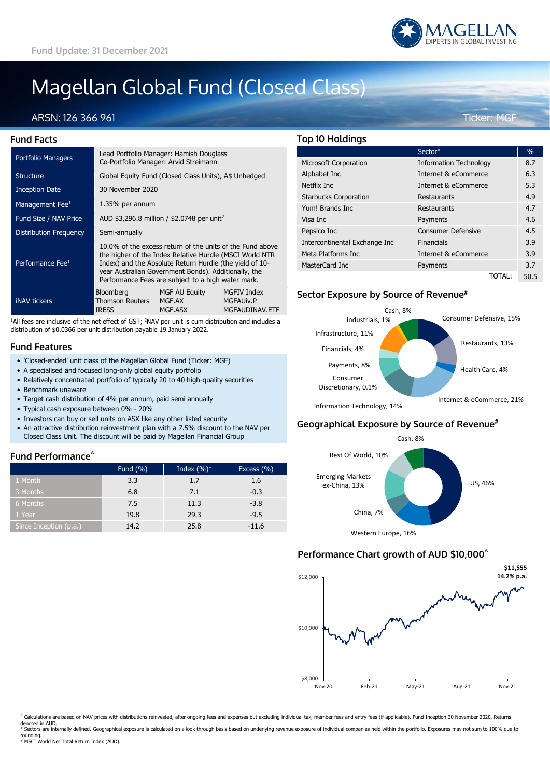# Magellan Global Fund (Closed Class)

## ARSN: 126 366 961 Ticker: MGF

| <b>Fund Facts</b> |  |
|-------------------|--|

| <b>Portfolio Managers</b>     | Lead Portfolio Manager: Hamish Douglass<br>Co-Portfolio Manager: Arvid Streimann                                                                                                                                                                                                              |                                    |                                                          |  |
|-------------------------------|-----------------------------------------------------------------------------------------------------------------------------------------------------------------------------------------------------------------------------------------------------------------------------------------------|------------------------------------|----------------------------------------------------------|--|
| <b>Structure</b>              | Global Equity Fund (Closed Class Units), A\$ Unhedged                                                                                                                                                                                                                                         |                                    |                                                          |  |
| <b>Inception Date</b>         | 30 November 2020                                                                                                                                                                                                                                                                              |                                    |                                                          |  |
| Management Fee <sup>1</sup>   | 1.35% per annum                                                                                                                                                                                                                                                                               |                                    |                                                          |  |
| Fund Size / NAV Price         | AUD \$3,296.8 million / \$2.0748 per unit <sup>2</sup>                                                                                                                                                                                                                                        |                                    |                                                          |  |
| <b>Distribution Frequency</b> | Semi-annually                                                                                                                                                                                                                                                                                 |                                    |                                                          |  |
| Performance Fee <sup>1</sup>  | 10.0% of the excess return of the units of the Fund above<br>the higher of the Index Relative Hurdle (MSCI World NTR<br>Index) and the Absolute Return Hurdle (the yield of 10-<br>year Australian Government Bonds). Additionally, the<br>Performance Fees are subject to a high water mark. |                                    |                                                          |  |
| <b>iNAV</b> tickers           | Bloomberg<br><b>Thomson Reuters</b><br><b>IRESS</b>                                                                                                                                                                                                                                           | MGF AU Equity<br>MGF.AX<br>MGF.ASX | <b>MGFIV Index</b><br><b>MGFAUIV.P</b><br>MGFAUDINAV.ETF |  |
|                               |                                                                                                                                                                                                                                                                                               |                                    |                                                          |  |

<sup>1</sup>All fees are inclusive of the net effect of GST; <sup>2</sup>NAV per unit is cum distribution and includes a distribution of \$0.0366 per unit distribution payable 19 January 2022.

#### **Fund Features**

- 'Closed-ended' unit class of the Magellan Global Fund (Ticker: MGF)
- A specialised and focused long-only global equity portfolio
- Relatively concentrated portfolio of typically 20 to 40 high-quality securities • Benchmark unaware
- Target cash distribution of 4% per annum, paid semi annually
- Typical cash exposure between 0% 20%
- Investors can buy or sell units on ASX like any other listed security
- An attractive distribution reinvestment plan with a 7.5% discount to the NAV per Closed Class Unit. The discount will be paid by Magellan Financial Group

#### **Fund Performance^**

|                        | Fund $(\% )$ | Index $(\%)^+$ | Excess $(\% )$ |
|------------------------|--------------|----------------|----------------|
| 1 Month                | 3.3          | 1.7            | 1.6            |
| 3 Months               | 6.8          | 7.1            | $-0.3$         |
| 6 Months               | 7.5          | 11.3           | $-3.8$         |
| 1 Year                 | 19.8         | 29.3           | $-9.5$         |
| Since Inception (p.a.) | 14.2         | 25.8           | $-11.6$        |

#### **Top 10 Holdings**

|                               | Sector#                       | $\%$ |
|-------------------------------|-------------------------------|------|
| <b>Microsoft Corporation</b>  | <b>Information Technology</b> | 8.7  |
| Alphabet Inc                  | Internet & eCommerce          | 6.3  |
| Netflix Inc                   | Internet & eCommerce          | 5.3  |
| <b>Starbucks Corporation</b>  | Restaurants                   | 4.9  |
| Yum! Brands Inc.              | Restaurants                   | 4.7  |
| Visa Inc                      | Payments                      | 4.6  |
| Pepsico Inc                   | <b>Consumer Defensive</b>     | 4.5  |
| Intercontinental Exchange Inc | Financials                    | 3.9  |
| Meta Platforms Inc.           | Internet & eCommerce          | 3.9  |
| MasterCard Inc                | Payments                      | 3.7  |
|                               | TOTAL:                        | 50.5 |

#### **Sector Exposure by Source of Revenue#**



Information Technology, 14%

## **Geographical Exposure by Source of Revenue#**



## **Performance Chart growth of AUD \$10,000^**



Calculations are based on NAV prices with distributions reinvested, after ongoing fees and expenses but excluding individual tax, member fees and entry fees (if applicable). Fund Inception 30 November 2020. Returns denoted in AUD.

Sectors are internally defined. Geographical exposure is calculated on a look through basis based on underlying revenue exposure of individual companies held within the portfolio. Exposures may not sum to 100% due to rounding.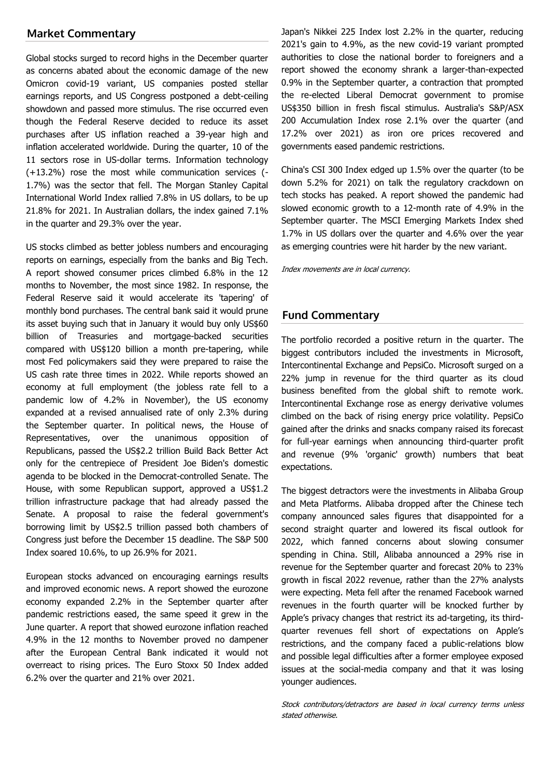## **Market Commentary**

Global stocks surged to record highs in the December quarter as concerns abated about the economic damage of the new Omicron covid-19 variant, US companies posted stellar earnings reports, and US Congress postponed a debt-ceiling showdown and passed more stimulus. The rise occurred even though the Federal Reserve decided to reduce its asset purchases after US inflation reached a 39-year high and inflation accelerated worldwide. During the quarter, 10 of the 11 sectors rose in US-dollar terms. Information technology (+13.2%) rose the most while communication services (- 1.7%) was the sector that fell. The Morgan Stanley Capital International World Index rallied 7.8% in US dollars, to be up 21.8% for 2021. In Australian dollars, the index gained 7.1% in the quarter and 29.3% over the year.

US stocks climbed as better jobless numbers and encouraging reports on earnings, especially from the banks and Big Tech. A report showed consumer prices climbed 6.8% in the 12 months to November, the most since 1982. In response, the Federal Reserve said it would accelerate its 'tapering' of monthly bond purchases. The central bank said it would prune its asset buying such that in January it would buy only US\$60 billion of Treasuries and mortgage-backed securities compared with US\$120 billion a month pre-tapering, while most Fed policymakers said they were prepared to raise the US cash rate three times in 2022. While reports showed an economy at full employment (the jobless rate fell to a pandemic low of 4.2% in November), the US economy expanded at a revised annualised rate of only 2.3% during the September quarter. In political news, the House of Representatives, over the unanimous opposition of Republicans, passed the US\$2.2 trillion Build Back Better Act only for the centrepiece of President Joe Biden's domestic agenda to be blocked in the Democrat-controlled Senate. The House, with some Republican support, approved a US\$1.2 trillion infrastructure package that had already passed the Senate. A proposal to raise the federal government's borrowing limit by US\$2.5 trillion passed both chambers of Congress just before the December 15 deadline. The S&P 500 Index soared 10.6%, to up 26.9% for 2021.

European stocks advanced on encouraging earnings results and improved economic news. A report showed the eurozone economy expanded 2.2% in the September quarter after pandemic restrictions eased, the same speed it grew in the June quarter. A report that showed eurozone inflation reached 4.9% in the 12 months to November proved no dampener after the European Central Bank indicated it would not overreact to rising prices. The Euro Stoxx 50 Index added 6.2% over the quarter and 21% over 2021.

Japan's Nikkei 225 Index lost 2.2% in the quarter, reducing 2021's gain to 4.9%, as the new covid-19 variant prompted authorities to close the national border to foreigners and a report showed the economy shrank a larger-than-expected 0.9% in the September quarter, a contraction that prompted the re-elected Liberal Democrat government to promise US\$350 billion in fresh fiscal stimulus. Australia's S&P/ASX 200 Accumulation Index rose 2.1% over the quarter (and 17.2% over 2021) as iron ore prices recovered and governments eased pandemic restrictions.

China's CSI 300 Index edged up 1.5% over the quarter (to be down 5.2% for 2021) on talk the regulatory crackdown on tech stocks has peaked. A report showed the pandemic had slowed economic growth to a 12-month rate of 4.9% in the September quarter. The MSCI Emerging Markets Index shed 1.7% in US dollars over the quarter and 4.6% over the year as emerging countries were hit harder by the new variant.

Index movements are in local currency.

#### **Fund Commentary**

The portfolio recorded a positive return in the quarter. The biggest contributors included the investments in Microsoft, Intercontinental Exchange and PepsiCo. Microsoft surged on a 22% jump in revenue for the third quarter as its cloud business benefited from the global shift to remote work. Intercontinental Exchange rose as energy derivative volumes climbed on the back of rising energy price volatility. PepsiCo gained after the drinks and snacks company raised its forecast for full-year earnings when announcing third-quarter profit and revenue (9% 'organic' growth) numbers that beat expectations.

The biggest detractors were the investments in Alibaba Group and Meta Platforms. Alibaba dropped after the Chinese tech company announced sales figures that disappointed for a second straight quarter and lowered its fiscal outlook for 2022, which fanned concerns about slowing consumer spending in China. Still, Alibaba announced a 29% rise in revenue for the September quarter and forecast 20% to 23% growth in fiscal 2022 revenue, rather than the 27% analysts were expecting. Meta fell after the renamed Facebook warned revenues in the fourth quarter will be knocked further by Apple's privacy changes that restrict its ad-targeting, its thirdquarter revenues fell short of expectations on Apple's restrictions, and the company faced a public-relations blow and possible legal difficulties after a former employee exposed issues at the social-media company and that it was losing younger audiences.

Stock contributors/detractors are based in local currency terms unless stated otherwise.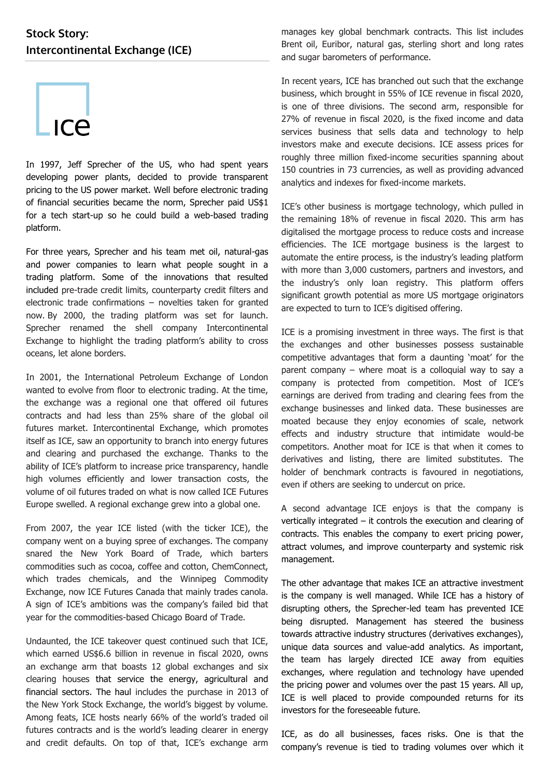## **Stock Story: Intercontinental Exchange (ICE)**



In 1997, Jeff Sprecher of the US, who had spent years developing power plants, decided to provide transparent pricing to the US power market. Well before electronic trading of financial securities became the norm, Sprecher paid US\$1 for a tech start-up so he could build a web-based trading platform.

For three years, Sprecher and his team met oil, natural-gas and power companies to learn what people sought in a trading platform. Some of the innovations that resulted included pre-trade credit limits, counterparty credit filters and electronic trade confirmations – novelties taken for granted now. By 2000, the trading platform was set for launch. Sprecher renamed the shell company Intercontinental Exchange to highlight the trading platform's ability to cross oceans, let alone borders.

In 2001, the International Petroleum Exchange of London wanted to evolve from floor to electronic trading. At the time, the exchange was a regional one that offered oil futures contracts and had less than 25% share of the global oil futures market. Intercontinental Exchange, which promotes itself as ICE, saw an opportunity to branch into energy futures and clearing and purchased the exchange. Thanks to the ability of ICE's platform to increase price transparency, handle high volumes efficiently and lower transaction costs, the volume of oil futures traded on what is now called ICE Futures Europe swelled. A regional exchange grew into a global one.

From 2007, the year ICE listed (with the ticker ICE), the company went on a buying spree of exchanges. The company snared the New York Board of Trade, which barters commodities such as cocoa, coffee and cotton, ChemConnect, which trades chemicals, and the Winnipeg Commodity Exchange, now ICE Futures Canada that mainly trades canola. A sign of ICE's ambitions was the company's failed bid that year for the commodities-based Chicago Board of Trade.

Undaunted, the ICE takeover quest continued such that ICE, which earned US\$6.6 billion in revenue in fiscal 2020, owns an exchange arm that boasts 12 global exchanges and six clearing houses that service the energy, agricultural and financial sectors. The haul includes the purchase in 2013 of the New York Stock Exchange, the world's biggest by volume. Among feats, ICE hosts nearly 66% of the world's traded oil futures contracts and is the world's leading clearer in energy and credit defaults. On top of that, ICE's exchange arm

manages key global benchmark contracts. This list includes Brent oil, Euribor, natural gas, sterling short and long rates and sugar barometers of performance.

In recent years, ICE has branched out such that the exchange business, which brought in 55% of ICE revenue in fiscal 2020, is one of three divisions. The second arm, responsible for 27% of revenue in fiscal 2020, is the fixed income and data services business that sells data and technology to help investors make and execute decisions. ICE assess prices for roughly three million fixed-income securities spanning about 150 countries in 73 currencies, as well as providing advanced analytics and indexes for fixed-income markets.

ICE's other business is mortgage technology, which pulled in the remaining 18% of revenue in fiscal 2020. This arm has digitalised the mortgage process to reduce costs and increase efficiencies. The ICE mortgage business is the largest to automate the entire process, is the industry's leading platform with more than 3,000 customers, partners and investors, and the industry's only loan registry. This platform offers significant growth potential as more US mortgage originators are expected to turn to ICE's digitised offering.

ICE is a promising investment in three ways. The first is that the exchanges and other businesses possess sustainable competitive advantages that form a daunting 'moat' for the parent company – where moat is a colloquial way to say a company is protected from competition. Most of ICE's earnings are derived from trading and clearing fees from the exchange businesses and linked data. These businesses are moated because they enjoy economies of scale, network effects and industry structure that intimidate would-be competitors. Another moat for ICE is that when it comes to derivatives and listing, there are limited substitutes. The holder of benchmark contracts is favoured in negotiations, even if others are seeking to undercut on price.

A second advantage ICE enjoys is that the company is vertically integrated – it controls the execution and clearing of contracts. This enables the company to exert pricing power, attract volumes, and improve counterparty and systemic risk management.

The other advantage that makes ICE an attractive investment is the company is well managed. While ICE has a history of disrupting others, the Sprecher-led team has prevented ICE being disrupted. Management has steered the business towards attractive industry structures (derivatives exchanges), unique data sources and value-add analytics. As important, the team has largely directed ICE away from equities exchanges, where regulation and technology have upended the pricing power and volumes over the past 15 years. All up, ICE is well placed to provide compounded returns for its investors for the foreseeable future.

ICE, as do all businesses, faces risks. One is that the company's revenue is tied to trading volumes over which it